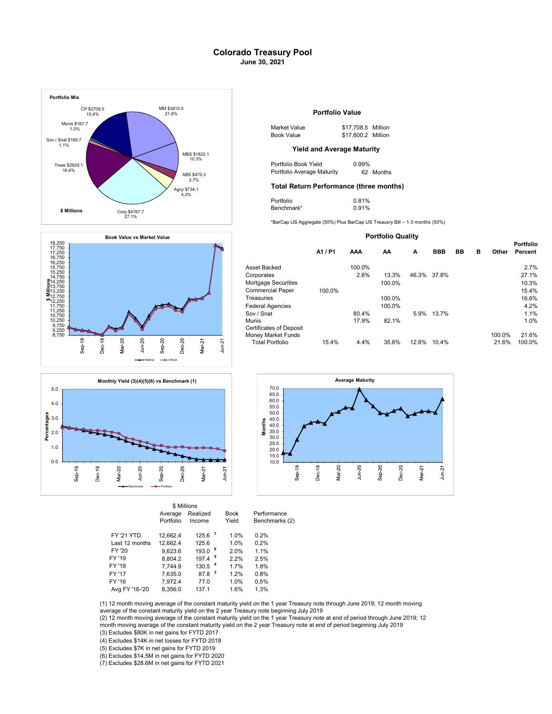## Colorado Treasury Pool June 30, 2021







|                   |           | \$ Millions          |             |                |
|-------------------|-----------|----------------------|-------------|----------------|
|                   | Average   | Realized             | <b>Book</b> | Performance    |
|                   | Portfolio | Income               | Yield       | Benchmarks (2) |
| <b>FY '21 YTD</b> | 12.662.4  | $125.6$ $^7$         | 1.0%        | 0.2%           |
| Last 12 months    | 12.662.4  | 125.6                | 1.0%        | 0.2%           |
| FY '20            | 9.623.6   | 193.0                | 6<br>2.0%   | 1.1%           |
| FY '19            | 8.804.2   | $197.4$ <sup>5</sup> | 2.2%        | 2.5%           |
| FY '18            | 7.744.9   | 130.5 <sup>4</sup>   | 1.7%        | 1.8%           |
| FY '17            | 7.635.0   | -3<br>87.8           | 1.2%        | 0.8%           |
| FY '16            | 7.972.4   | 77.0                 | 1.0%        | 0.5%           |
| Avg FY '16-'20    | 8.356.0   | 137.1                | 1.6%        | 1.3%           |

| Market Value | \$17,708.5 Million |  |
|--------------|--------------------|--|
| Book Value   | \$17,600.2 Million |  |

| Portfolio Book Yield       | $0.99\%$ |           |
|----------------------------|----------|-----------|
| Portfolio Average Maturity |          | 62 Months |

# $\frac{2.7\%}{3.4.4}$  Total Return Performance (three months)

| Portfolio  | 0.81% |
|------------|-------|
| Benchmark* | 0.91% |

### Portfolio Quality

|                         | A1 / P1 | AAA    | AA     | A     | <b>BBB</b> | BB | в | Other  | <b>Portfolio</b><br>Percent |  |
|-------------------------|---------|--------|--------|-------|------------|----|---|--------|-----------------------------|--|
| Asset Backed            |         | 100.0% |        |       |            |    |   |        | 2.7%                        |  |
|                         |         |        |        |       |            |    |   |        |                             |  |
| Corporates              |         | 2.6%   | 13.3%  | 46.3% | 37.8%      |    |   |        | 27.1%                       |  |
| Mortgage Securities     |         |        | 100.0% |       |            |    |   |        | 10.3%                       |  |
| Commercial Paper        | 100.0%  |        |        |       |            |    |   |        | 15.4%                       |  |
| Treasuries              |         |        | 100.0% |       |            |    |   |        | 16.6%                       |  |
| Federal Agencies        |         |        | 100.0% |       |            |    |   |        | 4.2%                        |  |
| Sov / Snat              |         | 80.4%  |        | 5.9%  | 13.7%      |    |   |        | 1.1%                        |  |
| Munis                   |         | 17.9%  | 82.1%  |       |            |    |   |        | 1.0%                        |  |
| Certificates of Deposit |         |        |        |       |            |    |   |        |                             |  |
| Money Market Funds      |         |        |        |       |            |    |   | 100.0% | 21.6%                       |  |
| <b>Total Portfolio</b>  | 15.4%   | 4.4%   | 35.6%  | 12.6% | 10.4%      |    |   | 21.6%  | 100.0%                      |  |
|                         |         |        |        |       |            |    |   |        |                             |  |



(1) 12 month moving average of the constant maturity yield on the 1 year Treasury note through June 2019; 12 month moving average of the constant maturity yield on the 2 year Treasury note beginning July 2019

(3) Excludes \$80K in net gains for FYTD 2017 (2) 12 month moving average of the constant maturity yield on the 1 year Treasury note at end of period through June 2019; 12 month moving average of the constant maturity yield on the 2 year Treasury note at end of period beginning July 2019

(4) Excludes \$14K in net losses for FYTD 2018

(5) Excludes \$7K in net gains for FYTD 2019

(6) Excludes \$14.5M in net gains for FYTD 2020

(7) Excludes \$28.6M in net gains for FYTD 2021